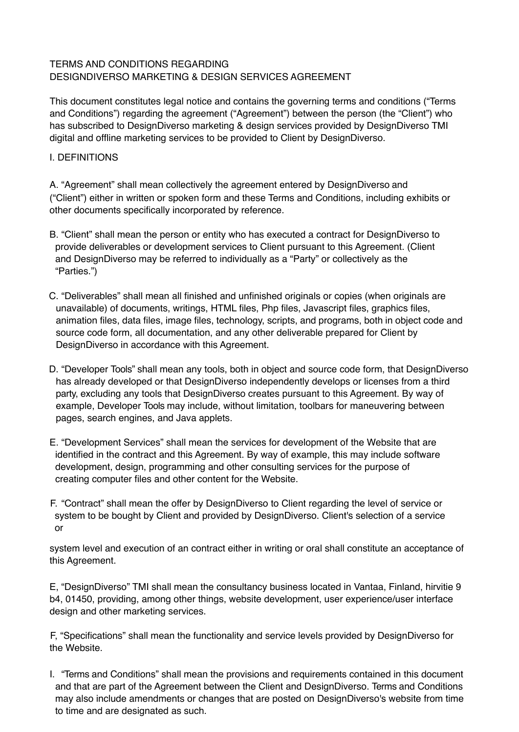# TERMS AND CONDITIONS REGARDING DESIGNDIVERSO MARKETING & DESIGN SERVICES AGREEMENT

This document constitutes legal notice and contains the governing terms and conditions ("Terms and Conditions") regarding the agreement ("Agreement") between the person (the "Client") who has subscribed to DesignDiverso marketing & design services provided by DesignDiverso TMI digital and offline marketing services to be provided to Client by DesignDiverso.

### I. DEFINITIONS

A. "Agreement" shall mean collectively the agreement entered by DesignDiverso and ("Client") either in written or spoken form and these Terms and Conditions, including exhibits or other documents specifically incorporated by reference.

- B. "Client" shall mean the person or entity who has executed a contract for DesignDiverso to provide deliverables or development services to Client pursuant to this Agreement. (Client and DesignDiverso may be referred to individually as a "Party" or collectively as the "Parties.")
- C. "Deliverables" shall mean all finished and unfinished originals or copies (when originals are unavailable) of documents, writings, HTML files, Php files, Javascript files, graphics files, animation files, data files, image files, technology, scripts, and programs, both in object code and source code form, all documentation, and any other deliverable prepared for Client by DesignDiverso in accordance with this Agreement.
- D. "Developer Tools" shall mean any tools, both in object and source code form, that DesignDiverso has already developed or that DesignDiverso independently develops or licenses from a third party, excluding any tools that DesignDiverso creates pursuant to this Agreement. By way of example, Developer Tools may include, without limitation, toolbars for maneuvering between pages, search engines, and Java applets.
- E. "Development Services" shall mean the services for development of the Website that are identified in the contract and this Agreement. By way of example, this may include software development, design, programming and other consulting services for the purpose of creating computer files and other content for the Website.
- F. "Contract" shall mean the offer by DesignDiverso to Client regarding the level of service or system to be bought by Client and provided by DesignDiverso. Client's selection of a service or

system level and execution of an contract either in writing or oral shall constitute an acceptance of this Agreement.

E, "DesignDiverso" TMI shall mean the consultancy business located in Vantaa, Finland, hirvitie 9 b4, 01450, providing, among other things, website development, user experience/user interface design and other marketing services.

F, "Specifications" shall mean the functionality and service levels provided by DesignDiverso for the Website.

I. "Terms and Conditions" shall mean the provisions and requirements contained in this document and that are part of the Agreement between the Client and DesignDiverso. Terms and Conditions may also include amendments or changes that are posted on DesignDiverso's website from time to time and are designated as such.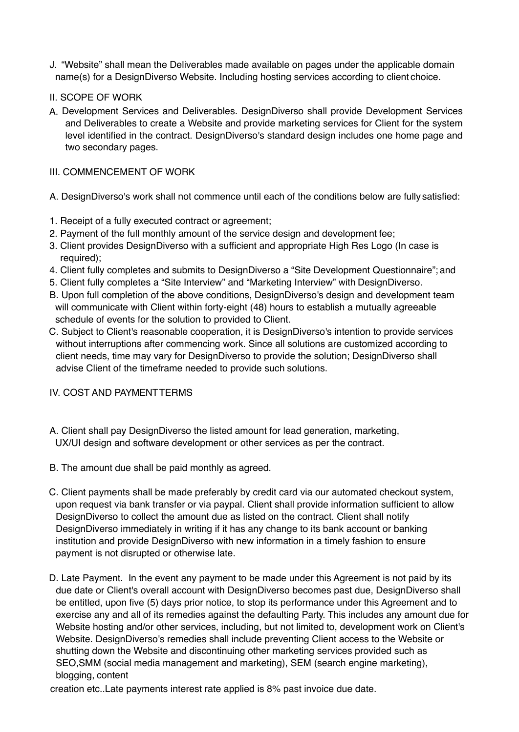- J. "Website" shall mean the Deliverables made available on pages under the applicable domain name(s) for a DesignDiverso Website. Including hosting services according to client choice.
- II. SCOPE OF WORK
- A. Development Services and Deliverables. DesignDiverso shall provide Development Services and Deliverables to create a Website and provide marketing services for Client for the system level identified in the contract. DesignDiverso's standard design includes one home page and two secondary pages.

### III. COMMENCEMENT OF WORK

- A. DesignDiverso's work shall not commence until each of the conditions below are fully satisfied:
- 1. Receipt of a fully executed contract or agreement;
- 2. Payment of the full monthly amount of the service design and development fee;
- 3. Client provides DesignDiverso with a sufficient and appropriate High Res Logo (In case is required);
- 4. Client fully completes and submits to DesignDiverso a "Site Development Questionnaire"; and
- 5. Client fully completes a "Site Interview" and "Marketing Interview" with DesignDiverso.
- B. Upon full completion of the above conditions, DesignDiverso's design and development team will communicate with Client within forty-eight (48) hours to establish a mutually agreeable schedule of events for the solution to provided to Client.
- C. Subject to Client's reasonable cooperation, it is DesignDiverso's intention to provide services without interruptions after commencing work. Since all solutions are customized according to client needs, time may vary for DesignDiverso to provide the solution; DesignDiverso shall advise Client of the timeframe needed to provide such solutions.

### IV. COST AND PAYMENTTERMS

- A. Client shall pay DesignDiverso the listed amount for lead generation, marketing, UX/UI design and software development or other services as per the contract.
- B. The amount due shall be paid monthly as agreed.
- C. Client payments shall be made preferably by credit card via our automated checkout system, upon request via bank transfer or via paypal. Client shall provide information sufficient to allow DesignDiverso to collect the amount due as listed on the contract. Client shall notify DesignDiverso immediately in writing if it has any change to its bank account or banking institution and provide DesignDiverso with new information in a timely fashion to ensure payment is not disrupted or otherwise late.
- D. Late Payment. In the event any payment to be made under this Agreement is not paid by its due date or Client's overall account with DesignDiverso becomes past due, DesignDiverso shall be entitled, upon five (5) days prior notice, to stop its performance under this Agreement and to exercise any and all of its remedies against the defaulting Party. This includes any amount due for Website hosting and/or other services, including, but not limited to, development work on Client's Website. DesignDiverso's remedies shall include preventing Client access to the Website or shutting down the Website and discontinuing other marketing services provided such as SEO,SMM (social media management and marketing), SEM (search engine marketing), blogging, content

creation etc..Late payments interest rate applied is 8% past invoice due date.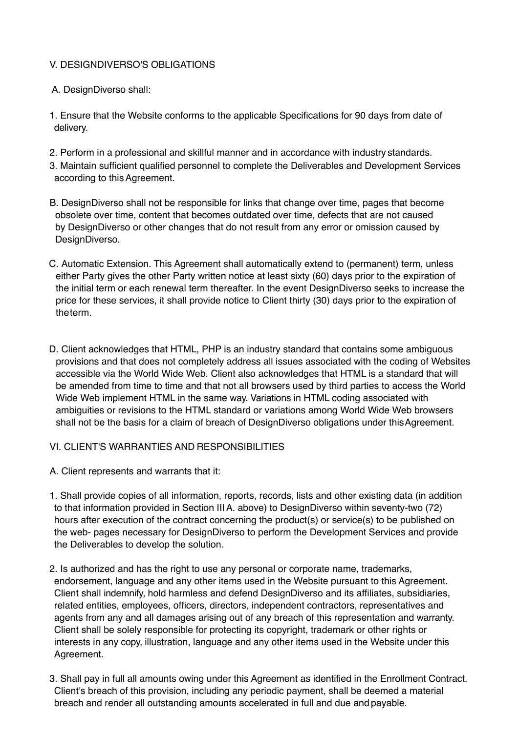## V. DESIGNDIVERSO'S OBLIGATIONS

- A. DesignDiverso shall:
- 1. Ensure that the Website conforms to the applicable Specifications for 90 days from date of delivery.
- 2. Perform in a professional and skillful manner and in accordance with industry standards.
- 3. Maintain sufficient qualified personnel to complete the Deliverables and Development Services according to thisAgreement.
- B. DesignDiverso shall not be responsible for links that change over time, pages that become obsolete over time, content that becomes outdated over time, defects that are not caused by DesignDiverso or other changes that do not result from any error or omission caused by DesignDiverso.
- C. Automatic Extension. This Agreement shall automatically extend to (permanent) term, unless either Party gives the other Party written notice at least sixty (60) days prior to the expiration of the initial term or each renewal term thereafter. In the event DesignDiverso seeks to increase the price for these services, it shall provide notice to Client thirty (30) days prior to the expiration of theterm.
- D. Client acknowledges that HTML, PHP is an industry standard that contains some ambiguous provisions and that does not completely address all issues associated with the coding of Websites accessible via the World Wide Web. Client also acknowledges that HTML is a standard that will be amended from time to time and that not all browsers used by third parties to access the World Wide Web implement HTML in the same way. Variations in HTML coding associated with ambiguities or revisions to the HTML standard or variations among World Wide Web browsers shall not be the basis for a claim of breach of DesignDiverso obligations under this Agreement.

### VI. CLIENT'S WARRANTIES AND RESPONSIBILITIES

- A. Client represents and warrants that it:
- 1. Shall provide copies of all information, reports, records, lists and other existing data (in addition to that information provided in Section IIIA. above) to DesignDiverso within seventy-two (72) hours after execution of the contract concerning the product(s) or service(s) to be published on the web- pages necessary for DesignDiverso to perform the Development Services and provide the Deliverables to develop the solution.
- 2. Is authorized and has the right to use any personal or corporate name, trademarks, endorsement, language and any other items used in the Website pursuant to this Agreement. Client shall indemnify, hold harmless and defend DesignDiverso and its affiliates, subsidiaries, related entities, employees, officers, directors, independent contractors, representatives and agents from any and all damages arising out of any breach of this representation and warranty. Client shall be solely responsible for protecting its copyright, trademark or other rights or interests in any copy, illustration, language and any other items used in the Website under this Agreement.
- 3. Shall pay in full all amounts owing under this Agreement as identified in the Enrollment Contract. Client's breach of this provision, including any periodic payment, shall be deemed a material breach and render all outstanding amounts accelerated in full and due and payable.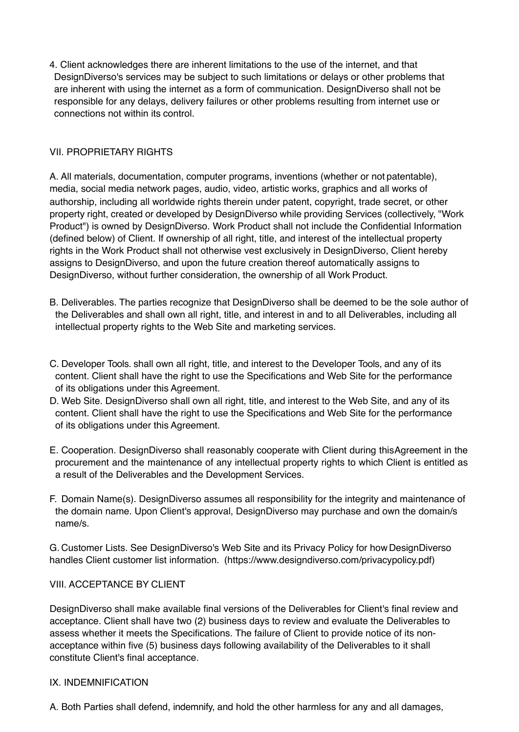4. Client acknowledges there are inherent limitations to the use of the internet, and that DesignDiverso's services may be subject to such limitations or delays or other problems that are inherent with using the internet as a form of communication. DesignDiverso shall not be responsible for any delays, delivery failures or other problems resulting from internet use or connections not within its control.

# VII. PROPRIETARY RIGHTS

A. All materials, documentation, computer programs, inventions (whether or not patentable), media, social media network pages, audio, video, artistic works, graphics and all works of authorship, including all worldwide rights therein under patent, copyright, trade secret, or other property right, created or developed by DesignDiverso while providing Services (collectively, "Work Product") is owned by DesignDiverso. Work Product shall not include the Confidential Information (defined below) of Client. If ownership of all right, title, and interest of the intellectual property rights in the Work Product shall not otherwise vest exclusively in DesignDiverso, Client hereby assigns to DesignDiverso, and upon the future creation thereof automatically assigns to DesignDiverso, without further consideration, the ownership of all Work Product.

- B. Deliverables. The parties recognize that DesignDiverso shall be deemed to be the sole author of the Deliverables and shall own all right, title, and interest in and to all Deliverables, including all intellectual property rights to the Web Site and marketing services.
- C. Developer Tools. shall own all right, title, and interest to the Developer Tools, and any of its content. Client shall have the right to use the Specifications and Web Site for the performance of its obligations under this Agreement.
- D. Web Site. DesignDiverso shall own all right, title, and interest to the Web Site, and any of its content. Client shall have the right to use the Specifications and Web Site for the performance of its obligations under this Agreement.
- E. Cooperation. DesignDiverso shall reasonably cooperate with Client during thisAgreement in the procurement and the maintenance of any intellectual property rights to which Client is entitled as a result of the Deliverables and the Development Services.
- F. Domain Name(s). DesignDiverso assumes all responsibility for the integrity and maintenance of the domain name. Upon Client's approval, DesignDiverso may purchase and own the domain/s name/s.

G. Customer Lists. See DesignDiverso's Web Site and its Privacy Policy for how DesignDiverso handles Client customer list information. (http[s://www.designdiverso.com/privacypolicy.](http://www.designdiverso.com/privacypolicy.pdf))pdf[\)](http://www.designdiverso.com/privacypolicy.pdf)) 

## VIII. ACCEPTANCE BY CLIENT

DesignDiverso shall make available final versions of the Deliverables for Client's final review and acceptance. Client shall have two (2) business days to review and evaluate the Deliverables to assess whether it meets the Specifications. The failure of Client to provide notice of its nonacceptance within five (5) business days following availability of the Deliverables to it shall constitute Client's final acceptance.

### IX. INDEMNIFICATION

A. Both Parties shall defend, indemnify, and hold the other harmless for any and all damages,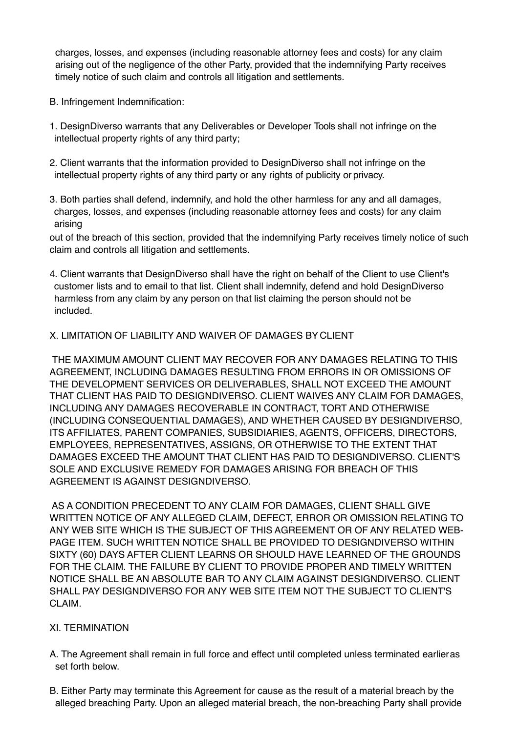charges, losses, and expenses (including reasonable attorney fees and costs) for any claim arising out of the negligence of the other Party, provided that the indemnifying Party receives timely notice of such claim and controls all litigation and settlements.

- B. Infringement Indemnification:
- 1. DesignDiverso warrants that any Deliverables or Developer Tools shall not infringe on the intellectual property rights of any third party;
- 2. Client warrants that the information provided to DesignDiverso shall not infringe on the intellectual property rights of any third party or any rights of publicity or privacy.
- 3. Both parties shall defend, indemnify, and hold the other harmless for any and all damages, charges, losses, and expenses (including reasonable attorney fees and costs) for any claim arising

out of the breach of this section, provided that the indemnifying Party receives timely notice of such claim and controls all litigation and settlements.

4. Client warrants that DesignDiverso shall have the right on behalf of the Client to use Client's customer lists and to email to that list. Client shall indemnify, defend and hold DesignDiverso harmless from any claim by any person on that list claiming the person should not be included.

### X. LIMITATION OF LIABILITY AND WAIVER OF DAMAGES BY CLIENT

THE MAXIMUM AMOUNT CLIENT MAY RECOVER FOR ANY DAMAGES RELATING TO THIS AGREEMENT, INCLUDING DAMAGES RESULTING FROM ERRORS IN OR OMISSIONS OF THE DEVELOPMENT SERVICES OR DELIVERABLES, SHALL NOT EXCEED THE AMOUNT THAT CLIENT HAS PAID TO DESIGNDIVERSO. CLIENT WAIVES ANY CLAIM FOR DAMAGES, INCLUDING ANY DAMAGES RECOVERABLE IN CONTRACT, TORT AND OTHERWISE (INCLUDING CONSEQUENTIAL DAMAGES), AND WHETHER CAUSED BY DESIGNDIVERSO, ITS AFFILIATES, PARENT COMPANIES, SUBSIDIARIES, AGENTS, OFFICERS, DIRECTORS, EMPLOYEES, REPRESENTATIVES, ASSIGNS, OR OTHERWISE TO THE EXTENT THAT DAMAGES EXCEED THE AMOUNT THAT CLIENT HAS PAID TO DESIGNDIVERSO. CLIENT'S SOLE AND EXCLUSIVE REMEDY FOR DAMAGES ARISING FOR BREACH OF THIS AGREEMENT IS AGAINST DESIGNDIVERSO.

AS A CONDITION PRECEDENT TO ANY CLAIM FOR DAMAGES, CLIENT SHALL GIVE WRITTEN NOTICE OF ANY ALLEGED CLAIM, DEFECT, ERROR OR OMISSION RELATING TO ANY WEB SITE WHICH IS THE SUBJECT OF THIS AGREEMENT OR OF ANY RELATED WEB-PAGE ITEM. SUCH WRITTEN NOTICE SHALL BE PROVIDED TO DESIGNDIVERSO WITHIN SIXTY (60) DAYS AFTER CLIENT LEARNS OR SHOULD HAVE LEARNED OF THE GROUNDS FOR THE CLAIM. THE FAILURE BY CLIENT TO PROVIDE PROPER AND TIMELY WRITTEN NOTICE SHALL BE AN ABSOLUTE BAR TO ANY CLAIM AGAINST DESIGNDIVERSO. CLIENT SHALL PAY DESIGNDIVERSO FOR ANY WEB SITE ITEM NOT THE SUBJECT TO CLIENT'S CLAIM.

### XI. TERMINATION

- A. The Agreement shall remain in full force and effect until completed unless terminated earlieras set forth below.
- B. Either Party may terminate this Agreement for cause as the result of a material breach by the alleged breaching Party. Upon an alleged material breach, the non-breaching Party shall provide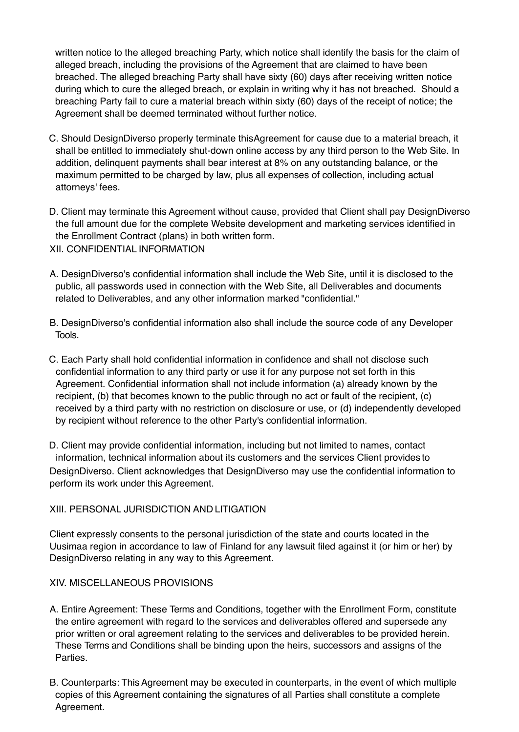written notice to the alleged breaching Party, which notice shall identify the basis for the claim of alleged breach, including the provisions of the Agreement that are claimed to have been breached. The alleged breaching Party shall have sixty (60) days after receiving written notice during which to cure the alleged breach, or explain in writing why it has not breached. Should a breaching Party fail to cure a material breach within sixty (60) days of the receipt of notice; the Agreement shall be deemed terminated without further notice.

- C. Should DesignDiverso properly terminate thisAgreement for cause due to a material breach, it shall be entitled to immediately shut-down online access by any third person to the Web Site. In addition, delinquent payments shall bear interest at 8% on any outstanding balance, or the maximum permitted to be charged by law, plus all expenses of collection, including actual attorneys' fees.
- D. Client may terminate this Agreement without cause, provided that Client shall pay DesignDiverso the full amount due for the complete Website development and marketing services identified in the Enrollment Contract (plans) in both written form.
- XII. CONFIDENTIAL INFORMATION
- A. DesignDiverso's confidential information shall include the Web Site, until it is disclosed to the public, all passwords used in connection with the Web Site, all Deliverables and documents related to Deliverables, and any other information marked "confidential."
- B. DesignDiverso's confidential information also shall include the source code of any Developer Tools.
- C. Each Party shall hold confidential information in confidence and shall not disclose such confidential information to any third party or use it for any purpose not set forth in this Agreement. Confidential information shall not include information (a) already known by the recipient, (b) that becomes known to the public through no act or fault of the recipient, (c) received by a third party with no restriction on disclosure or use, or (d) independently developed by recipient without reference to the other Party's confidential information.

D. Client may provide confidential information, including but not limited to names, contact information, technical information about its customers and the services Client provides to DesignDiverso. Client acknowledges that DesignDiverso may use the confidential information to perform its work under this Agreement.

### XIII. PERSONAL JURISDICTION AND LITIGATION

Client expressly consents to the personal jurisdiction of the state and courts located in the Uusimaa region in accordance to law of Finland for any lawsuit filed against it (or him or her) by DesignDiverso relating in any way to this Agreement.

## XIV. MISCELLANEOUS PROVISIONS

- A. Entire Agreement: These Terms and Conditions, together with the Enrollment Form, constitute the entire agreement with regard to the services and deliverables offered and supersede any prior written or oral agreement relating to the services and deliverables to be provided herein. These Terms and Conditions shall be binding upon the heirs, successors and assigns of the Parties.
- B. Counterparts: ThisAgreement may be executed in counterparts, in the event of which multiple copies of this Agreement containing the signatures of all Parties shall constitute a complete Agreement.